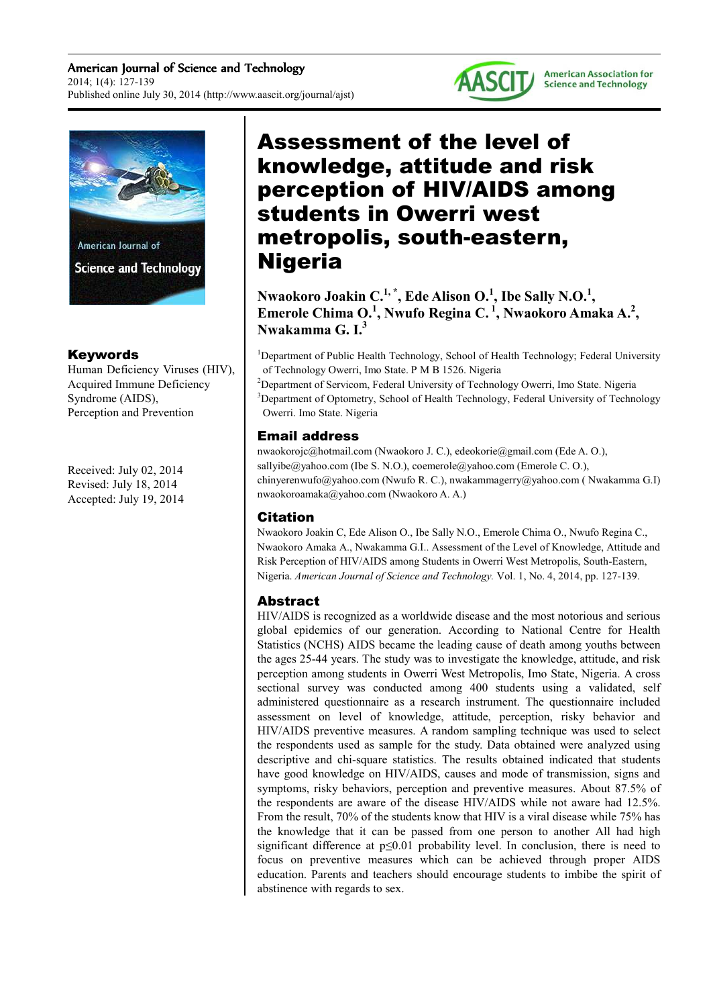American Journal of Science and Technology 2014; 1(4): 127-139 Published online July 30, 2014 (http://www.aascit.org/journal/ajst)





## Keywords

Human Deficiency Viruses (HIV), Acquired Immune Deficiency Syndrome (AIDS), Perception and Prevention

Received: July 02, 2014 Revised: July 18, 2014 Accepted: July 19, 2014

# Assessment of the level of knowledge, attitude and risk perception of HIV/AIDS among students in Owerri west metropolis, south-eastern, Nigeria

**Nwaokoro Joakin C.1, \*, Ede Alison O.<sup>1</sup> , Ibe Sally N.O.<sup>1</sup> , Emerole Chima O.<sup>1</sup> , Nwufo Regina C.<sup>1</sup>, Nwaokoro Amaka A.<sup>2</sup> , Nwakamma G. I.<sup>3</sup>**

<sup>1</sup>Department of Public Health Technology, School of Health Technology; Federal University of Technology Owerri, Imo State. P M B 1526. Nigeria

<sup>2</sup>Department of Servicom, Federal University of Technology Owerri, Imo State. Nigeria <sup>3</sup>Department of Optometry, School of Health Technology, Federal University of Technology Owerri. Imo State. Nigeria

## Email address

nwaokorojc@hotmail.com (Nwaokoro J. C.), edeokorie@gmail.com (Ede A. O.), sallyibe@yahoo.com (Ibe S. N.O.), coemerole@yahoo.com (Emerole C. O.), chinyerenwufo@yahoo.com (Nwufo R. C.), nwakammagerry@yahoo.com ( Nwakamma G.I) nwaokoroamaka@yahoo.com (Nwaokoro A. A.)

## Citation

Nwaokoro Joakin C, Ede Alison O., Ibe Sally N.O., Emerole Chima O., Nwufo Regina C., Nwaokoro Amaka A., Nwakamma G.I.. Assessment of the Level of Knowledge, Attitude and Risk Perception of HIV/AIDS among Students in Owerri West Metropolis, South-Eastern, Nigeria. *American Journal of Science and Technology.* Vol. 1, No. 4, 2014, pp. 127-139.

## Abstract

HIV/AIDS is recognized as a worldwide disease and the most notorious and serious global epidemics of our generation. According to National Centre for Health Statistics (NCHS) AIDS became the leading cause of death among youths between the ages 25-44 years. The study was to investigate the knowledge, attitude, and risk perception among students in Owerri West Metropolis, Imo State, Nigeria. A cross sectional survey was conducted among 400 students using a validated, self administered questionnaire as a research instrument. The questionnaire included assessment on level of knowledge, attitude, perception, risky behavior and HIV/AIDS preventive measures. A random sampling technique was used to select the respondents used as sample for the study. Data obtained were analyzed using descriptive and chi-square statistics. The results obtained indicated that students have good knowledge on HIV/AIDS, causes and mode of transmission, signs and symptoms, risky behaviors, perception and preventive measures. About 87.5% of the respondents are aware of the disease HIV/AIDS while not aware had 12.5%. From the result, 70% of the students know that HIV is a viral disease while 75% has the knowledge that it can be passed from one person to another All had high significant difference at p≤0.01 probability level. In conclusion, there is need to focus on preventive measures which can be achieved through proper AIDS education. Parents and teachers should encourage students to imbibe the spirit of abstinence with regards to sex.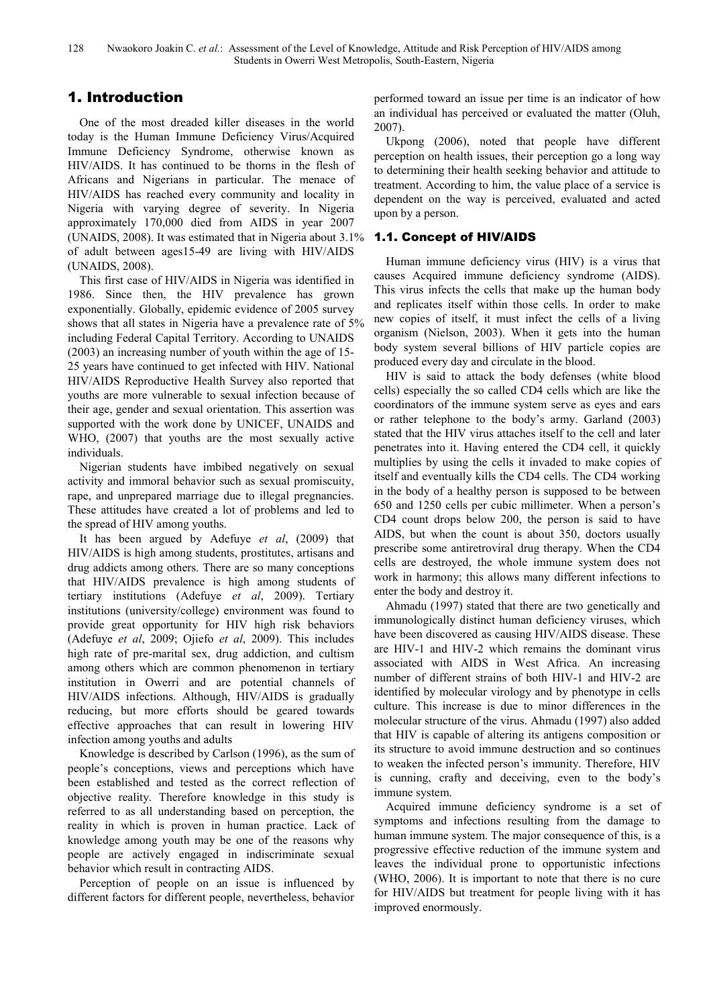# 1. Introduction

One of the most dreaded killer diseases in the world today is the Human Immune Deficiency Virus/Acquired Immune Deficiency Syndrome, otherwise known as HIV/AIDS. It has continued to be thorns in the flesh of Africans and Nigerians in particular. The menace of HIV/AIDS has reached every community and locality in Nigeria with varying degree of severity. In Nigeria approximately 170,000 died from AIDS in year 2007 (UNAIDS, 2008). It was estimated that in Nigeria about 3.1% of adult between ages15-49 are living with HIV/AIDS (UNAIDS, 2008).

This first case of HIV/AIDS in Nigeria was identified in 1986. Since then, the HIV prevalence has grown exponentially. Globally, epidemic evidence of 2005 survey shows that all states in Nigeria have a prevalence rate of 5% including Federal Capital Territory. According to UNAIDS (2003) an increasing number of youth within the age of 15- 25 years have continued to get infected with HIV. National HIV/AIDS Reproductive Health Survey also reported that youths are more vulnerable to sexual infection because of their age, gender and sexual orientation. This assertion was supported with the work done by UNICEF, UNAIDS and WHO, (2007) that youths are the most sexually active individuals.

Nigerian students have imbibed negatively on sexual activity and immoral behavior such as sexual promiscuity, rape, and unprepared marriage due to illegal pregnancies. These attitudes have created a lot of problems and led to the spread of HIV among youths.

It has been argued by Adefuye *et al*, (2009) that HIV/AIDS is high among students, prostitutes, artisans and drug addicts among others. There are so many conceptions that HIV/AIDS prevalence is high among students of tertiary institutions (Adefuye *et al*, 2009). Tertiary institutions (university/college) environment was found to provide great opportunity for HIV high risk behaviors (Adefuye *et al*, 2009; Ojiefo *et al*, 2009). This includes high rate of pre-marital sex, drug addiction, and cultism among others which are common phenomenon in tertiary institution in Owerri and are potential channels of HIV/AIDS infections. Although, HIV/AIDS is gradually reducing, but more efforts should be geared towards effective approaches that can result in lowering HIV infection among youths and adults

Knowledge is described by Carlson (1996), as the sum of people's conceptions, views and perceptions which have been established and tested as the correct reflection of objective reality. Therefore knowledge in this study is referred to as all understanding based on perception, the reality in which is proven in human practice. Lack of knowledge among youth may be one of the reasons why people are actively engaged in indiscriminate sexual behavior which result in contracting AIDS.

Perception of people on an issue is influenced by different factors for different people, nevertheless, behavior performed toward an issue per time is an indicator of how an individual has perceived or evaluated the matter (Oluh, 2007).

Ukpong (2006), noted that people have different perception on health issues, their perception go a long way to determining their health seeking behavior and attitude to treatment. According to him, the value place of a service is dependent on the way is perceived, evaluated and acted upon by a person.

## 1.1. Concept of HIV/AIDS

Human immune deficiency virus (HIV) is a virus that causes Acquired immune deficiency syndrome (AIDS). This virus infects the cells that make up the human body and replicates itself within those cells. In order to make new copies of itself, it must infect the cells of a living organism (Nielson, 2003). When it gets into the human body system several billions of HIV particle copies are produced every day and circulate in the blood.

HIV is said to attack the body defenses (white blood cells) especially the so called CD4 cells which are like the coordinators of the immune system serve as eyes and ears or rather telephone to the body's army. Garland (2003) stated that the HIV virus attaches itself to the cell and later penetrates into it. Having entered the CD4 cell, it quickly multiplies by using the cells it invaded to make copies of itself and eventually kills the CD4 cells. The CD4 working in the body of a healthy person is supposed to be between 650 and 1250 cells per cubic millimeter. When a person's CD4 count drops below 200, the person is said to have AIDS, but when the count is about 350, doctors usually prescribe some antiretroviral drug therapy. When the CD4 cells are destroyed, the whole immune system does not work in harmony; this allows many different infections to enter the body and destroy it.

Ahmadu (1997) stated that there are two genetically and immunologically distinct human deficiency viruses, which have been discovered as causing HIV/AIDS disease. These are HIV-1 and HIV-2 which remains the dominant virus associated with AIDS in West Africa. An increasing number of different strains of both HIV-1 and HIV-2 are identified by molecular virology and by phenotype in cells culture. This increase is due to minor differences in the molecular structure of the virus. Ahmadu (1997) also added that HIV is capable of altering its antigens composition or its structure to avoid immune destruction and so continues to weaken the infected person's immunity. Therefore, HIV is cunning, crafty and deceiving, even to the body's immune system.

Acquired immune deficiency syndrome is a set of symptoms and infections resulting from the damage to human immune system. The major consequence of this, is a progressive effective reduction of the immune system and leaves the individual prone to opportunistic infections (WHO, 2006). It is important to note that there is no cure for HIV/AIDS but treatment for people living with it has improved enormously.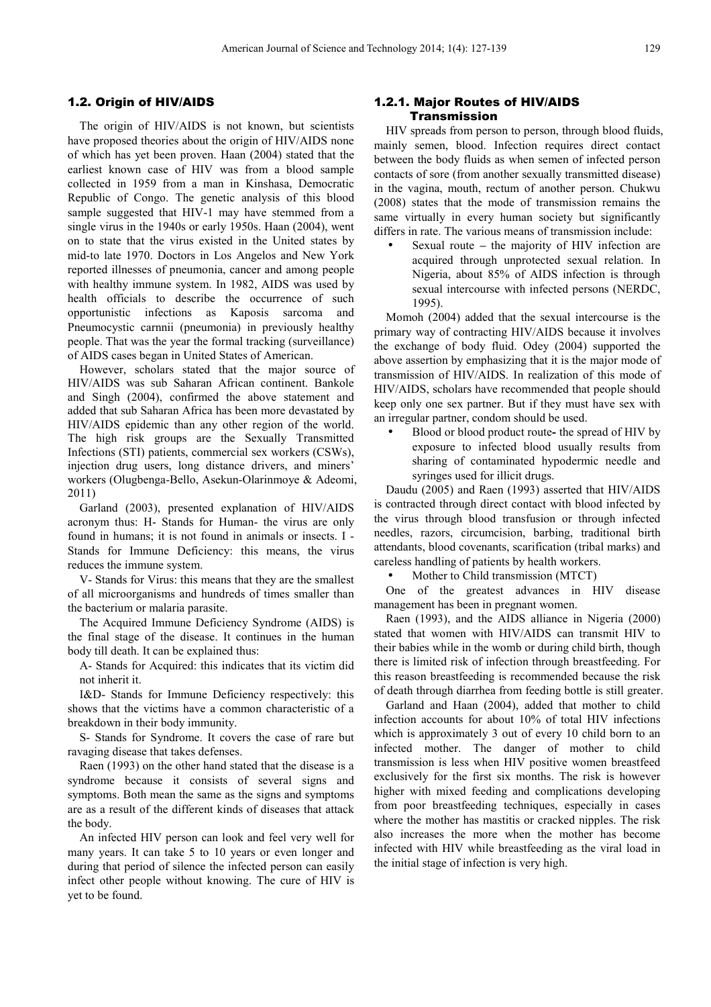#### 1.2. Origin of HIV/AIDS

The origin of HIV/AIDS is not known, but scientists have proposed theories about the origin of HIV/AIDS none of which has yet been proven. Haan (2004) stated that the earliest known case of HIV was from a blood sample collected in 1959 from a man in Kinshasa, Democratic Republic of Congo. The genetic analysis of this blood sample suggested that HIV-1 may have stemmed from a single virus in the 1940s or early 1950s. Haan (2004), went on to state that the virus existed in the United states by mid-to late 1970. Doctors in Los Angelos and New York reported illnesses of pneumonia, cancer and among people with healthy immune system. In 1982, AIDS was used by health officials to describe the occurrence of such opportunistic infections as Kaposis sarcoma and Pneumocystic carnnii (pneumonia) in previously healthy people. That was the year the formal tracking (surveillance) of AIDS cases began in United States of American.

However, scholars stated that the major source of HIV/AIDS was sub Saharan African continent. Bankole and Singh (2004), confirmed the above statement and added that sub Saharan Africa has been more devastated by HIV/AIDS epidemic than any other region of the world. The high risk groups are the Sexually Transmitted Infections (STI) patients, commercial sex workers (CSWs), injection drug users, long distance drivers, and miners' workers (Olugbenga-Bello, Asekun-Olarinmoye & Adeomi, 2011)

Garland (2003), presented explanation of HIV/AIDS acronym thus: H- Stands for Human- the virus are only found in humans; it is not found in animals or insects. I - Stands for Immune Deficiency: this means, the virus reduces the immune system.

V- Stands for Virus: this means that they are the smallest of all microorganisms and hundreds of times smaller than the bacterium or malaria parasite.

The Acquired Immune Deficiency Syndrome (AIDS) is the final stage of the disease. It continues in the human body till death. It can be explained thus:

A- Stands for Acquired: this indicates that its victim did not inherit it.

I&D- Stands for Immune Deficiency respectively: this shows that the victims have a common characteristic of a breakdown in their body immunity.

S- Stands for Syndrome. It covers the case of rare but ravaging disease that takes defenses.

Raen (1993) on the other hand stated that the disease is a syndrome because it consists of several signs and symptoms. Both mean the same as the signs and symptoms are as a result of the different kinds of diseases that attack the body.

An infected HIV person can look and feel very well for many years. It can take 5 to 10 years or even longer and during that period of silence the infected person can easily infect other people without knowing. The cure of HIV is yet to be found.

#### 1.2.1. Major Routes of HIV/AIDS Transmission

HIV spreads from person to person, through blood fluids, mainly semen, blood. Infection requires direct contact between the body fluids as when semen of infected person contacts of sore (from another sexually transmitted disease) in the vagina, mouth, rectum of another person. Chukwu (2008) states that the mode of transmission remains the same virtually in every human society but significantly differs in rate. The various means of transmission include:

• Sexual route **–** the majority of HIV infection are acquired through unprotected sexual relation. In Nigeria, about 85% of AIDS infection is through sexual intercourse with infected persons (NERDC, 1995).

Momoh (2004) added that the sexual intercourse is the primary way of contracting HIV/AIDS because it involves the exchange of body fluid. Odey (2004) supported the above assertion by emphasizing that it is the major mode of transmission of HIV/AIDS. In realization of this mode of HIV/AIDS, scholars have recommended that people should keep only one sex partner. But if they must have sex with an irregular partner, condom should be used.

• Blood or blood product route**-** the spread of HIV by exposure to infected blood usually results from sharing of contaminated hypodermic needle and syringes used for illicit drugs.

Daudu (2005) and Raen (1993) asserted that HIV/AIDS is contracted through direct contact with blood infected by the virus through blood transfusion or through infected needles, razors, circumcision, barbing, traditional birth attendants, blood covenants, scarification (tribal marks) and careless handling of patients by health workers.

Mother to Child transmission (MTCT)

One of the greatest advances in HIV disease management has been in pregnant women.

Raen (1993), and the AIDS alliance in Nigeria (2000) stated that women with HIV/AIDS can transmit HIV to their babies while in the womb or during child birth, though there is limited risk of infection through breastfeeding. For this reason breastfeeding is recommended because the risk of death through diarrhea from feeding bottle is still greater.

Garland and Haan (2004), added that mother to child infection accounts for about 10% of total HIV infections which is approximately 3 out of every 10 child born to an infected mother. The danger of mother to child transmission is less when HIV positive women breastfeed exclusively for the first six months. The risk is however higher with mixed feeding and complications developing from poor breastfeeding techniques, especially in cases where the mother has mastitis or cracked nipples. The risk also increases the more when the mother has become infected with HIV while breastfeeding as the viral load in the initial stage of infection is very high.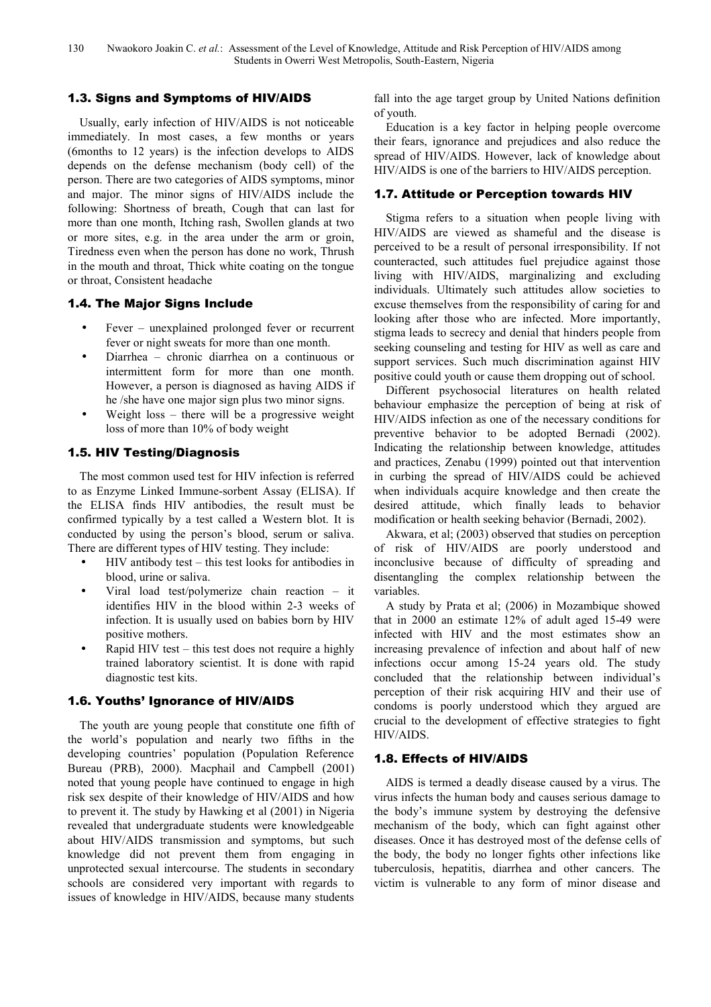## 1.3. Signs and Symptoms of HIV/AIDS

Usually, early infection of HIV/AIDS is not noticeable immediately. In most cases, a few months or years (6months to 12 years) is the infection develops to AIDS depends on the defense mechanism (body cell) of the person. There are two categories of AIDS symptoms, minor and major. The minor signs of HIV/AIDS include the following: Shortness of breath, Cough that can last for more than one month, Itching rash, Swollen glands at two or more sites, e.g. in the area under the arm or groin, Tiredness even when the person has done no work, Thrush in the mouth and throat, Thick white coating on the tongue or throat, Consistent headache

#### 1.4. The Major Signs Include

- Fever unexplained prolonged fever or recurrent fever or night sweats for more than one month.
- Diarrhea chronic diarrhea on a continuous or intermittent form for more than one month. However, a person is diagnosed as having AIDS if he /she have one major sign plus two minor signs.
- Weight loss there will be a progressive weight loss of more than 10% of body weight

## 1.5. HIV Testing/Diagnosis

The most common used test for HIV infection is referred to as Enzyme Linked Immune-sorbent Assay (ELISA). If the ELISA finds HIV antibodies, the result must be confirmed typically by a test called a Western blot. It is conducted by using the person's blood, serum or saliva. There are different types of HIV testing. They include:

- HIV antibody test this test looks for antibodies in blood, urine or saliva.
- Viral load test/polymerize chain reaction it identifies HIV in the blood within 2-3 weeks of infection. It is usually used on babies born by HIV positive mothers.
- Rapid HIV test this test does not require a highly trained laboratory scientist. It is done with rapid diagnostic test kits.

#### 1.6. Youths' Ignorance of HIV/AIDS

The youth are young people that constitute one fifth of the world's population and nearly two fifths in the developing countries' population (Population Reference Bureau (PRB), 2000). Macphail and Campbell (2001) noted that young people have continued to engage in high risk sex despite of their knowledge of HIV/AIDS and how to prevent it. The study by Hawking et al (2001) in Nigeria revealed that undergraduate students were knowledgeable about HIV/AIDS transmission and symptoms, but such knowledge did not prevent them from engaging in unprotected sexual intercourse. The students in secondary schools are considered very important with regards to issues of knowledge in HIV/AIDS, because many students

fall into the age target group by United Nations definition of youth.

Education is a key factor in helping people overcome their fears, ignorance and prejudices and also reduce the spread of HIV/AIDS. However, lack of knowledge about HIV/AIDS is one of the barriers to HIV/AIDS perception.

#### 1.7. Attitude or Perception towards HIV

Stigma refers to a situation when people living with HIV/AIDS are viewed as shameful and the disease is perceived to be a result of personal irresponsibility. If not counteracted, such attitudes fuel prejudice against those living with HIV/AIDS, marginalizing and excluding individuals. Ultimately such attitudes allow societies to excuse themselves from the responsibility of caring for and looking after those who are infected. More importantly, stigma leads to secrecy and denial that hinders people from seeking counseling and testing for HIV as well as care and support services. Such much discrimination against HIV positive could youth or cause them dropping out of school.

Different psychosocial literatures on health related behaviour emphasize the perception of being at risk of HIV/AIDS infection as one of the necessary conditions for preventive behavior to be adopted Bernadi (2002). Indicating the relationship between knowledge, attitudes and practices, Zenabu (1999) pointed out that intervention in curbing the spread of HIV/AIDS could be achieved when individuals acquire knowledge and then create the desired attitude, which finally leads to behavior modification or health seeking behavior (Bernadi, 2002).

Akwara, et al; (2003) observed that studies on perception of risk of HIV/AIDS are poorly understood and inconclusive because of difficulty of spreading and disentangling the complex relationship between the variables.

A study by Prata et al; (2006) in Mozambique showed that in 2000 an estimate 12% of adult aged 15-49 were infected with HIV and the most estimates show an increasing prevalence of infection and about half of new infections occur among 15-24 years old. The study concluded that the relationship between individual's perception of their risk acquiring HIV and their use of condoms is poorly understood which they argued are crucial to the development of effective strategies to fight HIV/AIDS.

## 1.8. Effects of HIV/AIDS

AIDS is termed a deadly disease caused by a virus. The virus infects the human body and causes serious damage to the body's immune system by destroying the defensive mechanism of the body, which can fight against other diseases. Once it has destroyed most of the defense cells of the body, the body no longer fights other infections like tuberculosis, hepatitis, diarrhea and other cancers. The victim is vulnerable to any form of minor disease and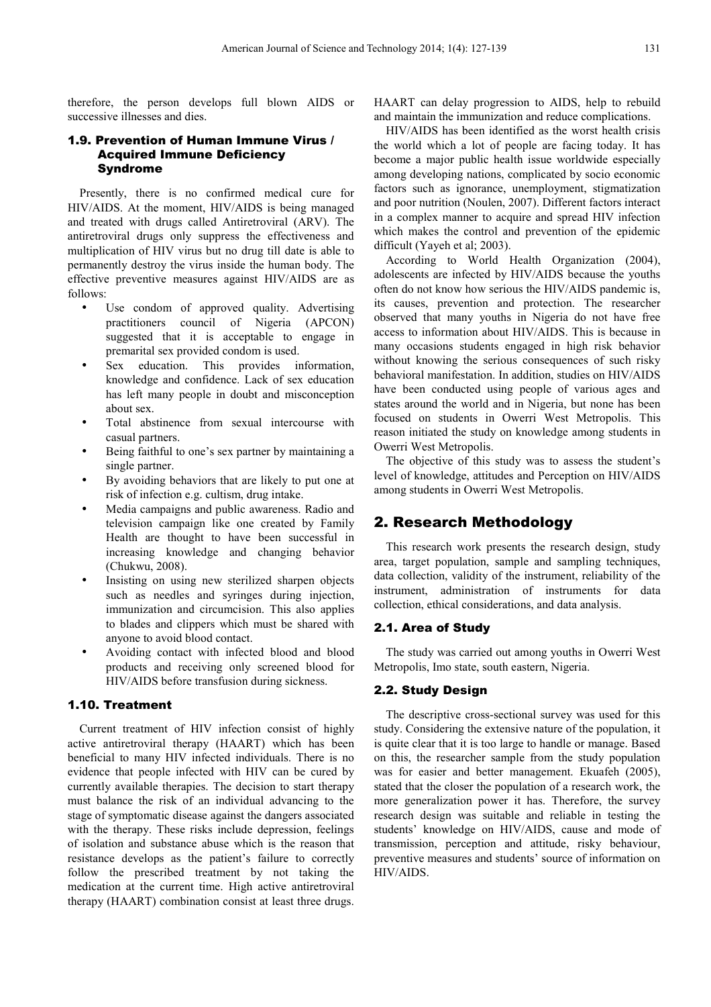therefore, the person develops full blown AIDS or successive illnesses and dies.

#### 1.9. Prevention of Human Immune Virus / Acquired Immune Deficiency Syndrome

Presently, there is no confirmed medical cure for HIV/AIDS. At the moment, HIV/AIDS is being managed and treated with drugs called Antiretroviral (ARV). The antiretroviral drugs only suppress the effectiveness and multiplication of HIV virus but no drug till date is able to permanently destroy the virus inside the human body. The effective preventive measures against HIV/AIDS are as follows:

- Use condom of approved quality. Advertising practitioners council of Nigeria (APCON) suggested that it is acceptable to engage in premarital sex provided condom is used.
- Sex education. This provides information, knowledge and confidence. Lack of sex education has left many people in doubt and misconception about sex.
- Total abstinence from sexual intercourse with casual partners.
- Being faithful to one's sex partner by maintaining a single partner.
- By avoiding behaviors that are likely to put one at risk of infection e.g. cultism, drug intake.
- Media campaigns and public awareness. Radio and television campaign like one created by Family Health are thought to have been successful in increasing knowledge and changing behavior (Chukwu, 2008).
- Insisting on using new sterilized sharpen objects such as needles and syringes during injection, immunization and circumcision. This also applies to blades and clippers which must be shared with anyone to avoid blood contact.
- Avoiding contact with infected blood and blood products and receiving only screened blood for HIV/AIDS before transfusion during sickness.

### 1.10. Treatment

Current treatment of HIV infection consist of highly active antiretroviral therapy (HAART) which has been beneficial to many HIV infected individuals. There is no evidence that people infected with HIV can be cured by currently available therapies. The decision to start therapy must balance the risk of an individual advancing to the stage of symptomatic disease against the dangers associated with the therapy. These risks include depression, feelings of isolation and substance abuse which is the reason that resistance develops as the patient's failure to correctly follow the prescribed treatment by not taking the medication at the current time. High active antiretroviral therapy (HAART) combination consist at least three drugs.

HAART can delay progression to AIDS, help to rebuild and maintain the immunization and reduce complications.

HIV/AIDS has been identified as the worst health crisis the world which a lot of people are facing today. It has become a major public health issue worldwide especially among developing nations, complicated by socio economic factors such as ignorance, unemployment, stigmatization and poor nutrition (Noulen, 2007). Different factors interact in a complex manner to acquire and spread HIV infection which makes the control and prevention of the epidemic difficult (Yayeh et al; 2003).

According to World Health Organization (2004), adolescents are infected by HIV/AIDS because the youths often do not know how serious the HIV/AIDS pandemic is, its causes, prevention and protection. The researcher observed that many youths in Nigeria do not have free access to information about HIV/AIDS. This is because in many occasions students engaged in high risk behavior without knowing the serious consequences of such risky behavioral manifestation. In addition, studies on HIV/AIDS have been conducted using people of various ages and states around the world and in Nigeria, but none has been focused on students in Owerri West Metropolis. This reason initiated the study on knowledge among students in Owerri West Metropolis.

The objective of this study was to assess the student's level of knowledge, attitudes and Perception on HIV/AIDS among students in Owerri West Metropolis.

#### 2. Research Methodology

This research work presents the research design, study area, target population, sample and sampling techniques, data collection, validity of the instrument, reliability of the instrument, administration of instruments for data collection, ethical considerations, and data analysis.

#### 2.1. Area of Study

The study was carried out among youths in Owerri West Metropolis, Imo state, south eastern, Nigeria.

#### 2.2. Study Design

The descriptive cross-sectional survey was used for this study. Considering the extensive nature of the population, it is quite clear that it is too large to handle or manage. Based on this, the researcher sample from the study population was for easier and better management. Ekuafeh (2005), stated that the closer the population of a research work, the more generalization power it has. Therefore, the survey research design was suitable and reliable in testing the students' knowledge on HIV/AIDS, cause and mode of transmission, perception and attitude, risky behaviour, preventive measures and students' source of information on HIV/AIDS.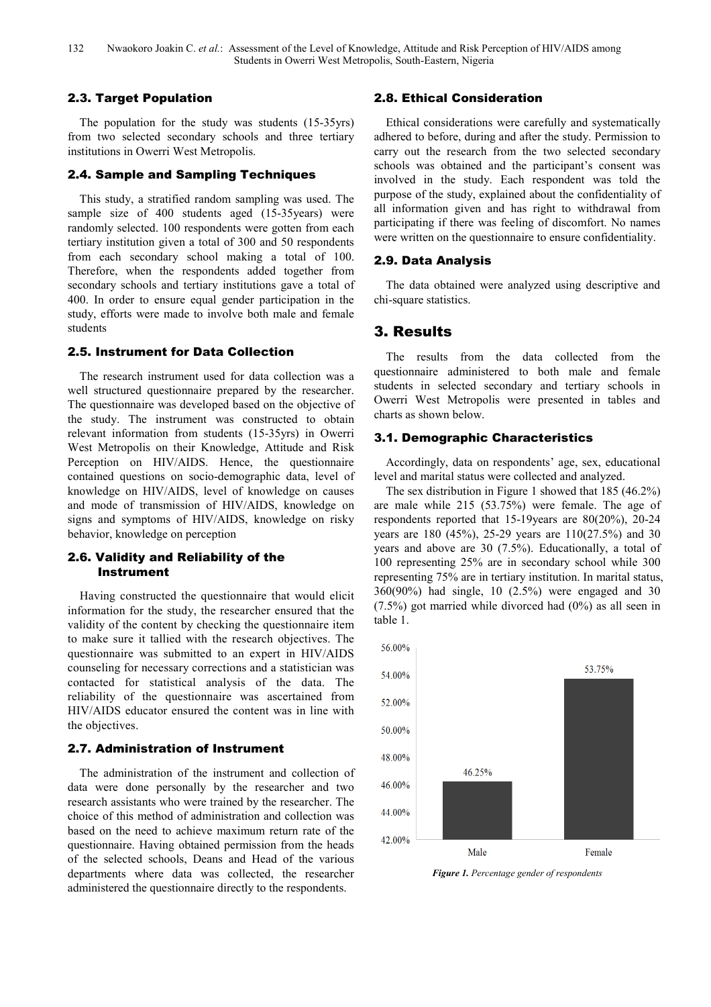## 2.3. Target Population

The population for the study was students (15-35yrs) from two selected secondary schools and three tertiary institutions in Owerri West Metropolis.

#### 2.4. Sample and Sampling Techniques

This study, a stratified random sampling was used. The sample size of 400 students aged (15-35years) were randomly selected. 100 respondents were gotten from each tertiary institution given a total of 300 and 50 respondents from each secondary school making a total of 100. Therefore, when the respondents added together from secondary schools and tertiary institutions gave a total of 400. In order to ensure equal gender participation in the study, efforts were made to involve both male and female students

#### 2.5. Instrument for Data Collection

The research instrument used for data collection was a well structured questionnaire prepared by the researcher. The questionnaire was developed based on the objective of the study. The instrument was constructed to obtain relevant information from students (15-35yrs) in Owerri West Metropolis on their Knowledge, Attitude and Risk Perception on HIV/AIDS. Hence, the questionnaire contained questions on socio-demographic data, level of knowledge on HIV/AIDS, level of knowledge on causes and mode of transmission of HIV/AIDS, knowledge on signs and symptoms of HIV/AIDS, knowledge on risky behavior, knowledge on perception

## 2.6. Validity and Reliability of the Instrument

Having constructed the questionnaire that would elicit information for the study, the researcher ensured that the validity of the content by checking the questionnaire item to make sure it tallied with the research objectives. The questionnaire was submitted to an expert in HIV/AIDS counseling for necessary corrections and a statistician was contacted for statistical analysis of the data. The reliability of the questionnaire was ascertained from HIV/AIDS educator ensured the content was in line with the objectives.

#### 2.7. Administration of Instrument

The administration of the instrument and collection of data were done personally by the researcher and two research assistants who were trained by the researcher. The choice of this method of administration and collection was based on the need to achieve maximum return rate of the questionnaire. Having obtained permission from the heads of the selected schools, Deans and Head of the various departments where data was collected, the researcher administered the questionnaire directly to the respondents.

## 2.8. Ethical Consideration

Ethical considerations were carefully and systematically adhered to before, during and after the study. Permission to carry out the research from the two selected secondary schools was obtained and the participant's consent was involved in the study. Each respondent was told the purpose of the study, explained about the confidentiality of all information given and has right to withdrawal from participating if there was feeling of discomfort. No names were written on the questionnaire to ensure confidentiality.

#### 2.9. Data Analysis

The data obtained were analyzed using descriptive and chi-square statistics.

## 3. Results

The results from the data collected from the questionnaire administered to both male and female students in selected secondary and tertiary schools in Owerri West Metropolis were presented in tables and charts as shown below.

#### 3.1. Demographic Characteristics

Accordingly, data on respondents' age, sex, educational level and marital status were collected and analyzed.

The sex distribution in Figure 1 showed that 185 (46.2%) are male while 215 (53.75%) were female. The age of respondents reported that 15-19years are 80(20%), 20-24 years are 180 (45%), 25-29 years are 110(27.5%) and 30 years and above are 30 (7.5%). Educationally, a total of 100 representing 25% are in secondary school while 300 representing 75% are in tertiary institution. In marital status, 360(90%) had single, 10 (2.5%) were engaged and 30 (7.5%) got married while divorced had (0%) as all seen in table 1.



*Figure 1. Percentage gender of respondents*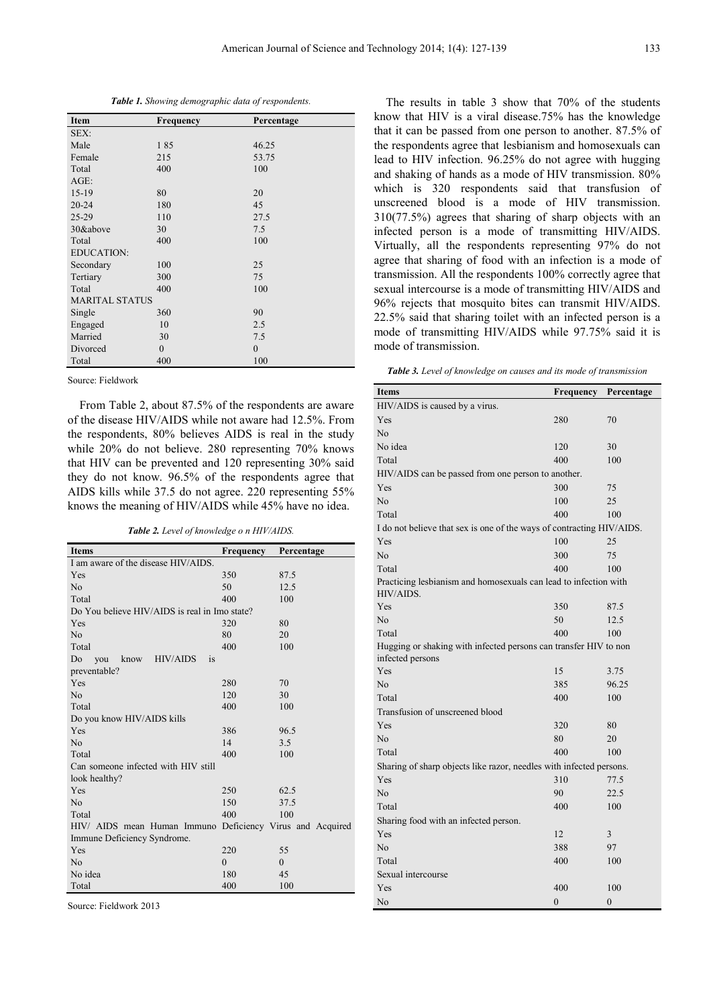*Table 1. Showing demographic data of respondents.* 

| <b>Item</b>           | <b>Frequency</b> | Percentage |
|-----------------------|------------------|------------|
| SEX:                  |                  |            |
| Male                  | 185              | 46.25      |
| Female                | 215              | 53.75      |
| Total                 | 400              | 100        |
| $AGE$ :               |                  |            |
| $15-19$               | 80               | 20         |
| $20 - 24$             | 180              | 45         |
| $25-29$               | 110              | 27.5       |
| 30&above              | 30               | 7.5        |
| Total                 | 400              | 100        |
| <b>EDUCATION:</b>     |                  |            |
| Secondary             | 100              | 25         |
| Tertiary              | 300              | 75         |
| Total                 | 400              | 100        |
| <b>MARITAL STATUS</b> |                  |            |
| Single                | 360              | 90         |
| Engaged               | 10               | 2.5        |
| Married               | 30               | 7.5        |
| Divorced              | $\mathbf{0}$     | $\theta$   |
| Total                 | 400              | 100        |

Source: Fieldwork

From Table 2, about 87.5% of the respondents are aware of the disease HIV/AIDS while not aware had 12.5%. From the respondents, 80% believes AIDS is real in the study while 20% do not believe. 280 representing 70% knows that HIV can be prevented and 120 representing 30% said they do not know. 96.5% of the respondents agree that AIDS kills while 37.5 do not agree. 220 representing 55% knows the meaning of HIV/AIDS while 45% have no idea.

*Table 2. Level of knowledge o n HIV/AIDS.* 

| <b>Items</b>                                              | Frequency | Percentage     |
|-----------------------------------------------------------|-----------|----------------|
| I am aware of the disease HIV/AIDS.                       |           |                |
| Yes                                                       | 350       | 87.5           |
| N <sub>o</sub>                                            | 50        | 12.5           |
| Total                                                     | 400       | 100            |
| Do You believe HIV/AIDS is real in Imo state?             |           |                |
| Yes                                                       | 320       | 80             |
| No                                                        | 80        | 20             |
| Total                                                     | 400       | 100            |
| Do<br>know HIV/AIDS<br>you<br><i>is</i>                   |           |                |
| preventable?                                              |           |                |
| Yes                                                       | 280       | 70             |
| No                                                        | 120       | 30             |
| Total                                                     | 400       | 100            |
| Do you know HIV/AIDS kills                                |           |                |
| Yes                                                       | 386       | 96.5           |
| No                                                        | 14        | 3.5            |
| Total                                                     | 400       | 100            |
| Can someone infected with HIV still                       |           |                |
| look healthy?                                             |           |                |
| Yes                                                       | 250       | 62.5           |
| N <sub>o</sub>                                            | 150       | 37.5           |
| Total                                                     | 400       | 100            |
| HIV/ AIDS mean Human Immuno Deficiency Virus and Acquired |           |                |
| Immune Deficiency Syndrome.                               |           |                |
| Yes                                                       | 220       | 55             |
| N <sub>o</sub>                                            | $\theta$  | $\overline{0}$ |
| No idea                                                   | 180       | 45             |
| Total                                                     | 400       | 100            |

Source: Fieldwork 2013

The results in table 3 show that 70% of the students know that HIV is a viral disease.75% has the knowledge that it can be passed from one person to another. 87.5% of the respondents agree that lesbianism and homosexuals can lead to HIV infection. 96.25% do not agree with hugging and shaking of hands as a mode of HIV transmission. 80% which is 320 respondents said that transfusion of unscreened blood is a mode of HIV transmission. 310(77.5%) agrees that sharing of sharp objects with an infected person is a mode of transmitting HIV/AIDS. Virtually, all the respondents representing 97% do not agree that sharing of food with an infection is a mode of transmission. All the respondents 100% correctly agree that sexual intercourse is a mode of transmitting HIV/AIDS and 96% rejects that mosquito bites can transmit HIV/AIDS. 22.5% said that sharing toilet with an infected person is a mode of transmitting HIV/AIDS while 97.75% said it is mode of transmission.

*Table 3. Level of knowledge on causes and its mode of transmission* 

| <b>Table 5.</b> Level of knowledge on causes and us mode of transmission             |              |            |  |
|--------------------------------------------------------------------------------------|--------------|------------|--|
| <b>Items</b>                                                                         | Frequency    | Percentage |  |
| HIV/AIDS is caused by a virus.                                                       |              |            |  |
| Yes                                                                                  | 280          | 70         |  |
| No                                                                                   |              |            |  |
| No idea                                                                              | 120          | 30         |  |
| Total                                                                                | 400          | 100        |  |
| HIV/AIDS can be passed from one person to another.                                   |              |            |  |
| Yes                                                                                  | 300          | 75         |  |
| No                                                                                   | 100          | 25         |  |
| Total                                                                                | 400          | 100        |  |
| I do not believe that sex is one of the ways of contracting HIV/AIDS.                |              |            |  |
| Yes                                                                                  | 100          | 25         |  |
| No                                                                                   | 300          | 75         |  |
| Total                                                                                | 400          | 100        |  |
| Practicing lesbianism and homosexuals can lead to infection with<br>HIV/AIDS.        |              |            |  |
| Yes                                                                                  | 350          | 87.5       |  |
| No                                                                                   | 50           | 12.5       |  |
| Total                                                                                | 400          | 100        |  |
| Hugging or shaking with infected persons can transfer HIV to non<br>infected persons |              |            |  |
| Yes                                                                                  | 15           | 3.75       |  |
| No                                                                                   | 385          | 96.25      |  |
| Total                                                                                | 400          | 100        |  |
| Transfusion of unscreened blood                                                      |              |            |  |
| Yes                                                                                  | 320          | 80         |  |
| No                                                                                   | 80           | 20         |  |
| Total                                                                                | 400          | 100        |  |
| Sharing of sharp objects like razor, needles with infected persons.                  |              |            |  |
| Yes                                                                                  | 310          | 77.5       |  |
| No                                                                                   | 90           | 22.5       |  |
| Total                                                                                | 400          | 100        |  |
| Sharing food with an infected person.                                                |              |            |  |
| Yes                                                                                  | 12           | 3          |  |
| No                                                                                   | 388          | 97         |  |
| Total                                                                                | 400          | 100        |  |
| Sexual intercourse                                                                   |              |            |  |
| Yes                                                                                  | 400          | 100        |  |
| No                                                                                   | $\mathbf{0}$ | $\theta$   |  |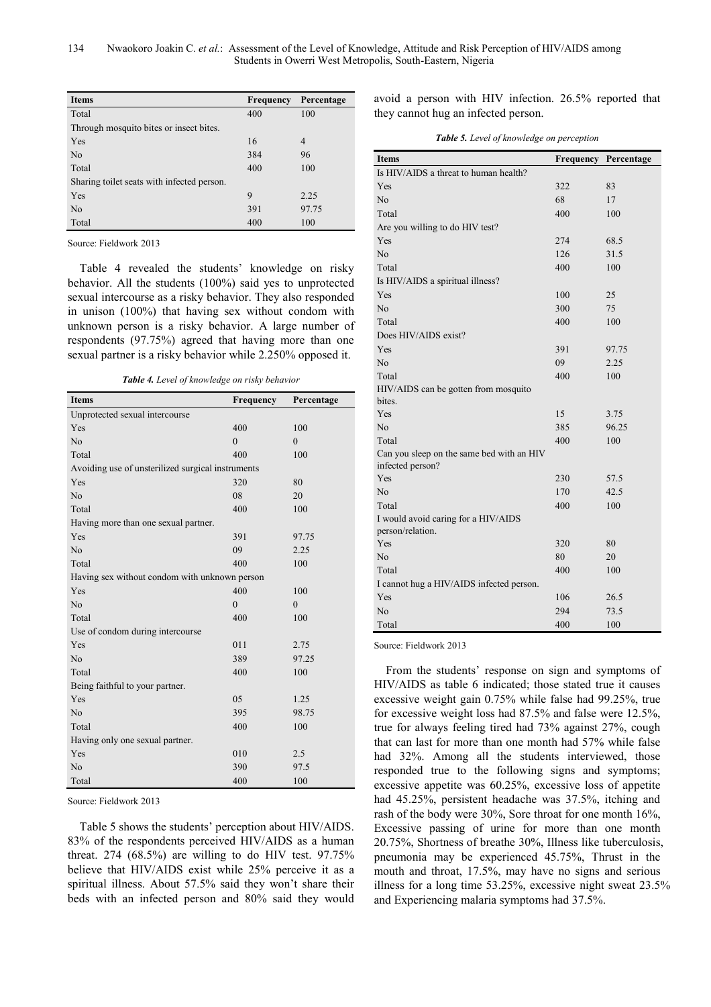| <b>Items</b>                               | <b>Frequency</b> | Percentage |  |
|--------------------------------------------|------------------|------------|--|
| Total                                      | 400              | 100        |  |
| Through mosquito bites or insect bites.    |                  |            |  |
| Yes                                        | 16               | 4          |  |
| N <sub>0</sub>                             | 384              | 96         |  |
| Total                                      | 400              | 100        |  |
| Sharing toilet seats with infected person. |                  |            |  |
| Yes                                        | 9                | 2.25       |  |
| N <sub>0</sub>                             | 391              | 97.75      |  |
| Total                                      | 400              | 100        |  |

Source: Fieldwork 2013

Table 4 revealed the students' knowledge on risky behavior. All the students (100%) said yes to unprotected sexual intercourse as a risky behavior. They also responded in unison (100%) that having sex without condom with unknown person is a risky behavior. A large number of respondents (97.75%) agreed that having more than one sexual partner is a risky behavior while 2.250% opposed it.

*Table 4. Level of knowledge on risky behavior* 

| <b>Items</b>                                      | Frequency    | Percentage |
|---------------------------------------------------|--------------|------------|
| Unprotected sexual intercourse                    |              |            |
| Yes                                               | 400          | 100        |
| N <sub>o</sub>                                    | $\theta$     | $\theta$   |
| Total                                             | 400          | 100        |
| Avoiding use of unsterilized surgical instruments |              |            |
| Yes                                               | 320          | 80         |
| N <sub>o</sub>                                    | 08           | 20         |
| Total                                             | 400          | 100        |
| Having more than one sexual partner.              |              |            |
| Yes                                               | 391          | 97.75      |
| No                                                | 09           | 2.25       |
| Total                                             | 400          | 100        |
| Having sex without condom with unknown person     |              |            |
| Yes                                               | 400          | 100        |
| N <sub>0</sub>                                    | $\mathbf{0}$ | $\theta$   |
| Total                                             | 400          | 100        |
| Use of condom during intercourse                  |              |            |
| Yes                                               | 011          | 2.75       |
| No                                                | 389          | 97.25      |
| Total                                             | 400          | 100        |
| Being faithful to your partner.                   |              |            |
| Yes                                               | 05           | 1.25       |
| N <sub>o</sub>                                    | 395          | 98.75      |
| Total                                             | 400          | 100        |
| Having only one sexual partner.                   |              |            |
| Yes                                               | 010          | 2.5        |
| N <sub>0</sub>                                    | 390          | 97.5       |
| Total                                             | 400          | 100        |

Source: Fieldwork 2013

Table 5 shows the students' perception about HIV/AIDS. 83% of the respondents perceived HIV/AIDS as a human threat. 274  $(68.5%)$  are willing to do HIV test. 97.75% believe that HIV/AIDS exist while 25% perceive it as a spiritual illness. About 57.5% said they won't share their beds with an infected person and 80% said they would

avoid a person with HIV infection. 26.5% reported that they cannot hug an infected person.

*Table 5. Level of knowledge on perception* 

| <b>Items</b>                                                  | Frequency | Percentage |
|---------------------------------------------------------------|-----------|------------|
| Is HIV/AIDS a threat to human health?                         |           |            |
| Yes                                                           | 322       | 83         |
| N <sub>o</sub>                                                | 68        | 17         |
| Total                                                         | 400       | 100        |
| Are you willing to do HIV test?                               |           |            |
| Yes                                                           | 274       | 68.5       |
| No                                                            | 126       | 31.5       |
| Total                                                         | 400       | 100        |
| Is HIV/AIDS a spiritual illness?                              |           |            |
| Yes                                                           | 100       | 25         |
| No                                                            | 300       | 75         |
| Total                                                         | 400       | 100        |
| Does HIV/AIDS exist?                                          |           |            |
| Yes                                                           | 391       | 97.75      |
| No                                                            | 09        | 2.25       |
| Total                                                         | 400       | 100        |
| HIV/AIDS can be gotten from mosquito                          |           |            |
| bites.                                                        |           |            |
| Yes                                                           | 15        | 3.75       |
| No                                                            | 385       | 96.25      |
| Total                                                         | 400       | 100        |
| Can you sleep on the same bed with an HIV<br>infected person? |           |            |
| Yes                                                           | 230       | 57.5       |
| No                                                            | 170       | 42.5       |
| Total                                                         | 400       | 100        |
| I would avoid caring for a HIV/AIDS<br>person/relation.       |           |            |
| Yes                                                           | 320       | 80         |
| N <sub>0</sub>                                                | 80        | 20         |
| Total                                                         | 400       | 100        |
| I cannot hug a HIV/AIDS infected person.                      |           |            |
| Yes                                                           | 106       | 26.5       |
| No                                                            | 294       | 73.5       |
| Total                                                         | 400       | 100        |

Source: Fieldwork 2013

From the students' response on sign and symptoms of HIV/AIDS as table 6 indicated; those stated true it causes excessive weight gain 0.75% while false had 99.25%, true for excessive weight loss had 87.5% and false were 12.5%, true for always feeling tired had 73% against 27%, cough that can last for more than one month had 57% while false had 32%. Among all the students interviewed, those responded true to the following signs and symptoms; excessive appetite was 60.25%, excessive loss of appetite had 45.25%, persistent headache was 37.5%, itching and rash of the body were 30%, Sore throat for one month 16%, Excessive passing of urine for more than one month 20.75%, Shortness of breathe 30%, Illness like tuberculosis, pneumonia may be experienced 45.75%, Thrust in the mouth and throat, 17.5%, may have no signs and serious illness for a long time 53.25%, excessive night sweat 23.5% and Experiencing malaria symptoms had 37.5%.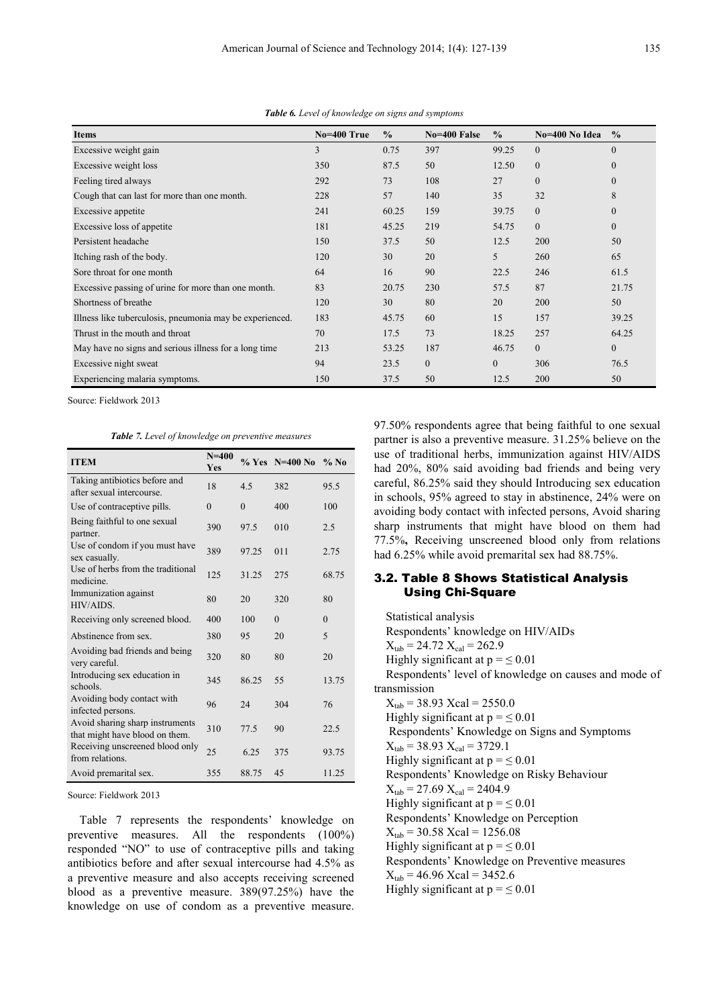| <b>Items</b>                                             | No=400 True | $\frac{0}{0}$ | No=400 False | $\frac{0}{0}$ | No=400 No Idea | $\frac{0}{0}$ |
|----------------------------------------------------------|-------------|---------------|--------------|---------------|----------------|---------------|
| Excessive weight gain                                    | 3           | 0.75          | 397          | 99.25         | $\Omega$       | $\mathbf{0}$  |
| Excessive weight loss                                    | 350         | 87.5          | 50           | 12.50         | $\mathbf{0}$   | $\mathbf{0}$  |
| Feeling tired always                                     | 292         | 73            | 108          | 27            | $\overline{0}$ | $\mathbf{0}$  |
| Cough that can last for more than one month.             | 228         | 57            | 140          | 35            | 32             | 8             |
| Excessive appetite                                       | 241         | 60.25         | 159          | 39.75         | $\overline{0}$ | $\mathbf{0}$  |
| Excessive loss of appetite                               | 181         | 45.25         | 219          | 54.75         | $\overline{0}$ | $\mathbf{0}$  |
| Persistent headache                                      | 150         | 37.5          | 50           | 12.5          | 200            | 50            |
| Itching rash of the body.                                | 120         | 30            | 20           | 5             | 260            | 65            |
| Sore throat for one month                                | 64          | 16            | 90           | 22.5          | 246            | 61.5          |
| Excessive passing of urine for more than one month.      | 83          | 20.75         | 230          | 57.5          | 87             | 21.75         |
| Shortness of breathe                                     | 120         | 30            | 80           | 20            | 200            | 50            |
| Illness like tuberculosis, pneumonia may be experienced. | 183         | 45.75         | 60           | 15            | 157            | 39.25         |
| Thrust in the mouth and throat                           | 70          | 17.5          | 73           | 18.25         | 257            | 64.25         |
| May have no signs and serious illness for a long time    | 213         | 53.25         | 187          | 46.75         | $\Omega$       | $\mathbf{0}$  |
| Excessive night sweat                                    | 94          | 23.5          | $\mathbf{0}$ | $\mathbf{0}$  | 306            | 76.5          |
| Experiencing malaria symptoms.                           | 150         | 37.5          | 50           | 12.5          | 200            | 50            |

*Table 6. Level of knowledge on signs and symptoms* 

Source: Fieldwork 2013

*Table 7. Level of knowledge on preventive measures* 

| <b>ITEM</b>                                                       | $N = 400$<br>Yes |          | $\%$ Yes N=400 No | $%$ No       |
|-------------------------------------------------------------------|------------------|----------|-------------------|--------------|
| Taking antibiotics before and<br>after sexual intercourse.        | 18               | 4.5      | 382               | 95.5         |
| Use of contraceptive pills.                                       | $\theta$         | $\theta$ | 400               | 100          |
| Being faithful to one sexual<br>partner.                          | 390              | 97.5     | 010               | 2.5          |
| Use of condom if you must have<br>sex casually.                   | 389              | 97.25    | 011               | 2.75         |
| Use of herbs from the traditional<br>medicine.                    | 125              | 31.25    | 275               | 68.75        |
| Immunization against<br>HIV/AIDS.                                 | 80               | 20       | 320               | 80           |
| Receiving only screened blood.                                    | 400              | 100      | $\theta$          | $\mathbf{0}$ |
| Abstinence from sex.                                              | 380              | 95       | 20                | 5            |
| Avoiding bad friends and being<br>very careful.                   | 320              | 80       | 80                | 20           |
| Introducing sex education in<br>schools.                          | 345              | 86.25    | 55                | 13.75        |
| Avoiding body contact with<br>infected persons.                   | 96               | 24       | 304               | 76           |
| Avoid sharing sharp instruments<br>that might have blood on them. | 310              | 77.5     | 90                | 22.5         |
| Receiving unscreened blood only<br>from relations.                | 25               | 6.25     | 375               | 93.75        |
| Avoid premarital sex.                                             | 355              | 88.75    | 45                | 11.25        |

Source: Fieldwork 2013

Table 7 represents the respondents' knowledge on preventive measures. All the respondents (100%) responded "NO" to use of contraceptive pills and taking antibiotics before and after sexual intercourse had 4.5% as a preventive measure and also accepts receiving screened blood as a preventive measure. 389(97.25%) have the knowledge on use of condom as a preventive measure.

97.50% respondents agree that being faithful to one sexual partner is also a preventive measure. 31.25% believe on the use of traditional herbs, immunization against HIV/AIDS had 20%, 80% said avoiding bad friends and being very careful, 86.25% said they should Introducing sex education in schools, 95% agreed to stay in abstinence, 24% were on avoiding body contact with infected persons, Avoid sharing sharp instruments that might have blood on them had 77.5%**,** Receiving unscreened blood only from relations had 6.25% while avoid premarital sex had 88.75%.

#### 3.2. Table 8 Shows Statistical Analysis Using Chi-Square

Statistical analysis Respondents' knowledge on HIV/AIDs  $X_{tab} = 24.72$   $X_{cal} = 262.9$ Highly significant at  $p = \le 0.01$ Respondents' level of knowledge on causes and mode of transmission  $X_{tab} = 38.93$  Xcal = 2550.0 Highly significant at  $p = \le 0.01$  Respondents' Knowledge on Signs and Symptoms  $X_{tab} = 38.93$   $X_{cal} = 3729.1$ Highly significant at  $p = \le 0.01$ Respondents' Knowledge on Risky Behaviour  $X_{tab} = 27.69$   $X_{cal} = 2404.9$ Highly significant at  $p = \le 0.01$ Respondents' Knowledge on Perception  $X_{tab} = 30.58$  Xcal = 1256.08 Highly significant at  $p = \le 0.01$ Respondents' Knowledge on Preventive measures  $X_{tab} = 46.96$  Xcal = 3452.6 Highly significant at  $p = \le 0.01$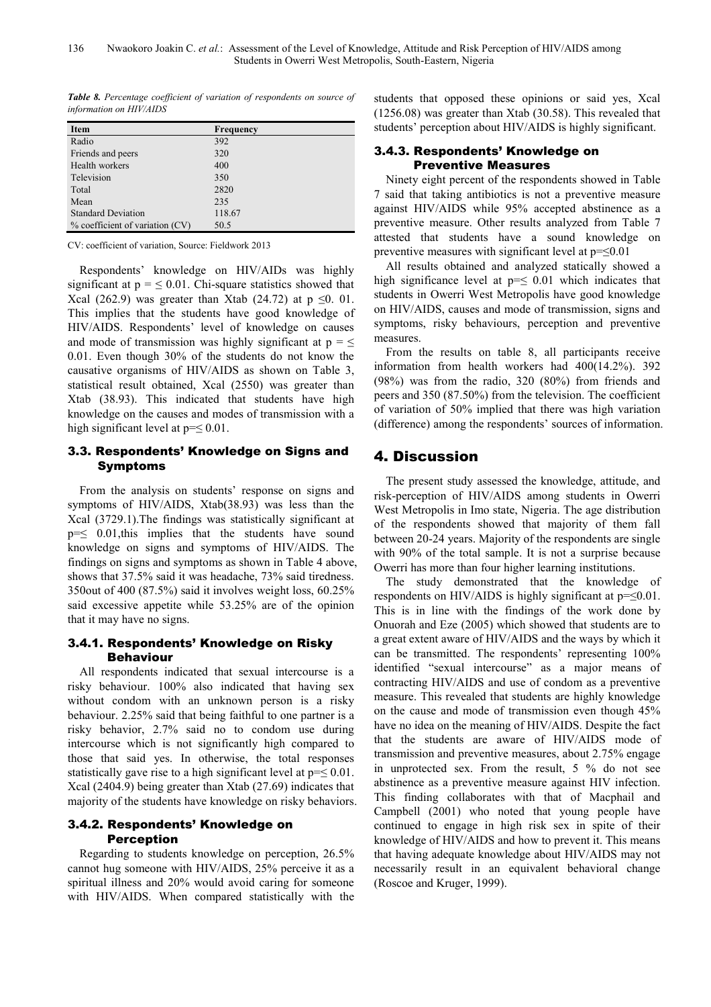*Table 8. Percentage coefficient of variation of respondents on source of information on HIV/AIDS* 

| <b>Item</b>                     | <b>Frequency</b> |
|---------------------------------|------------------|
| Radio                           | 392              |
| Friends and peers               | 320              |
| Health workers                  | 400              |
| Television                      | 350              |
| Total                           | 2820             |
| Mean                            | 235              |
| <b>Standard Deviation</b>       | 118.67           |
| % coefficient of variation (CV) | 50.5             |

CV: coefficient of variation, Source: Fieldwork 2013

Respondents' knowledge on HIV/AIDs was highly significant at  $p = \leq 0.01$ . Chi-square statistics showed that Xcal (262.9) was greater than Xtab (24.72) at  $p \le 0.01$ . This implies that the students have good knowledge of HIV/AIDS. Respondents' level of knowledge on causes and mode of transmission was highly significant at  $p = \leq$ 0.01. Even though 30% of the students do not know the causative organisms of HIV/AIDS as shown on Table 3, statistical result obtained, Xcal (2550) was greater than Xtab (38.93). This indicated that students have high knowledge on the causes and modes of transmission with a high significant level at  $p=\leq 0.01$ .

## 3.3. Respondents' Knowledge on Signs and Symptoms

From the analysis on students' response on signs and symptoms of HIV/AIDS, Xtab(38.93) was less than the Xcal (3729.1).The findings was statistically significant at  $p=\leq 0.01$ , this implies that the students have sound knowledge on signs and symptoms of HIV/AIDS. The findings on signs and symptoms as shown in Table 4 above, shows that 37.5% said it was headache, 73% said tiredness. 350out of 400 (87.5%) said it involves weight loss, 60.25% said excessive appetite while 53.25% are of the opinion that it may have no signs.

## 3.4.1. Respondents' Knowledge on Risky Behaviour

All respondents indicated that sexual intercourse is a risky behaviour. 100% also indicated that having sex without condom with an unknown person is a risky behaviour. 2.25% said that being faithful to one partner is a risky behavior, 2.7% said no to condom use during intercourse which is not significantly high compared to those that said yes. In otherwise, the total responses statistically gave rise to a high significant level at  $p = \leq 0.01$ . Xcal (2404.9) being greater than Xtab (27.69) indicates that majority of the students have knowledge on risky behaviors.

## 3.4.2. Respondents' Knowledge on Perception

Regarding to students knowledge on perception, 26.5% cannot hug someone with HIV/AIDS, 25% perceive it as a spiritual illness and 20% would avoid caring for someone with HIV/AIDS. When compared statistically with the students that opposed these opinions or said yes, Xcal (1256.08) was greater than Xtab (30.58). This revealed that students' perception about HIV/AIDS is highly significant.

## 3.4.3. Respondents' Knowledge on Preventive Measures

Ninety eight percent of the respondents showed in Table 7 said that taking antibiotics is not a preventive measure against HIV/AIDS while 95% accepted abstinence as a preventive measure. Other results analyzed from Table 7 attested that students have a sound knowledge on preventive measures with significant level at  $p = \leq 0.01$ 

All results obtained and analyzed statically showed a high significance level at  $p=\leq 0.01$  which indicates that students in Owerri West Metropolis have good knowledge on HIV/AIDS, causes and mode of transmission, signs and symptoms, risky behaviours, perception and preventive measures.

From the results on table 8, all participants receive information from health workers had 400(14.2%). 392 (98%) was from the radio, 320 (80%) from friends and peers and 350 (87.50%) from the television. The coefficient of variation of 50% implied that there was high variation (difference) among the respondents' sources of information.

# 4. Discussion

The present study assessed the knowledge, attitude, and risk-perception of HIV/AIDS among students in Owerri West Metropolis in Imo state, Nigeria. The age distribution of the respondents showed that majority of them fall between 20-24 years. Majority of the respondents are single with 90% of the total sample. It is not a surprise because Owerri has more than four higher learning institutions.

The study demonstrated that the knowledge of respondents on HIV/AIDS is highly significant at  $p = \leq 0.01$ . This is in line with the findings of the work done by Onuorah and Eze (2005) which showed that students are to a great extent aware of HIV/AIDS and the ways by which it can be transmitted. The respondents' representing 100% identified "sexual intercourse" as a major means of contracting HIV/AIDS and use of condom as a preventive measure. This revealed that students are highly knowledge on the cause and mode of transmission even though 45% have no idea on the meaning of HIV/AIDS. Despite the fact that the students are aware of HIV/AIDS mode of transmission and preventive measures, about 2.75% engage in unprotected sex. From the result, 5 % do not see abstinence as a preventive measure against HIV infection. This finding collaborates with that of Macphail and Campbell (2001) who noted that young people have continued to engage in high risk sex in spite of their knowledge of HIV/AIDS and how to prevent it. This means that having adequate knowledge about HIV/AIDS may not necessarily result in an equivalent behavioral change (Roscoe and Kruger, 1999).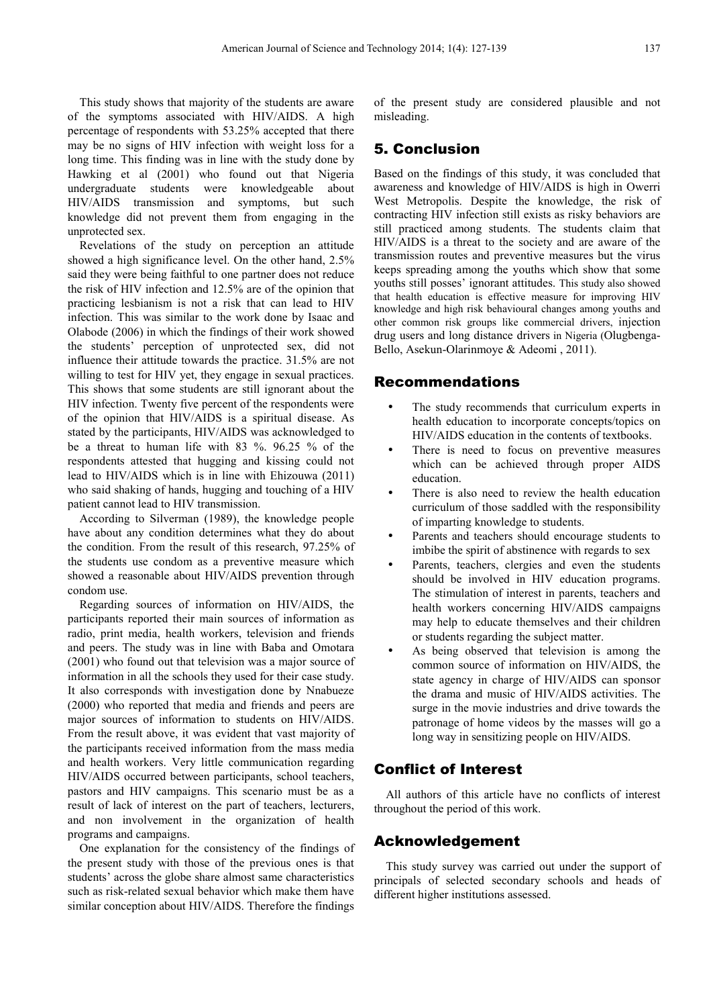This study shows that majority of the students are aware of the symptoms associated with HIV/AIDS. A high percentage of respondents with 53.25% accepted that there may be no signs of HIV infection with weight loss for a long time. This finding was in line with the study done by Hawking et al (2001) who found out that Nigeria undergraduate students were knowledgeable about HIV/AIDS transmission and symptoms, but such knowledge did not prevent them from engaging in the unprotected sex.

Revelations of the study on perception an attitude showed a high significance level. On the other hand, 2.5% said they were being faithful to one partner does not reduce the risk of HIV infection and 12.5% are of the opinion that practicing lesbianism is not a risk that can lead to HIV infection. This was similar to the work done by Isaac and Olabode (2006) in which the findings of their work showed the students' perception of unprotected sex, did not influence their attitude towards the practice. 31.5% are not willing to test for HIV yet, they engage in sexual practices. This shows that some students are still ignorant about the HIV infection. Twenty five percent of the respondents were of the opinion that HIV/AIDS is a spiritual disease. As stated by the participants, HIV/AIDS was acknowledged to be a threat to human life with 83 %. 96.25 % of the respondents attested that hugging and kissing could not lead to HIV/AIDS which is in line with Ehizouwa (2011) who said shaking of hands, hugging and touching of a HIV patient cannot lead to HIV transmission.

According to Silverman (1989), the knowledge people have about any condition determines what they do about the condition. From the result of this research, 97.25% of the students use condom as a preventive measure which showed a reasonable about HIV/AIDS prevention through condom use.

Regarding sources of information on HIV/AIDS, the participants reported their main sources of information as radio, print media, health workers, television and friends and peers. The study was in line with Baba and Omotara (2001) who found out that television was a major source of information in all the schools they used for their case study. It also corresponds with investigation done by Nnabueze (2000) who reported that media and friends and peers are major sources of information to students on HIV/AIDS. From the result above, it was evident that vast majority of the participants received information from the mass media and health workers. Very little communication regarding HIV/AIDS occurred between participants, school teachers, pastors and HIV campaigns. This scenario must be as a result of lack of interest on the part of teachers, lecturers, and non involvement in the organization of health programs and campaigns.

One explanation for the consistency of the findings of the present study with those of the previous ones is that students' across the globe share almost same characteristics such as risk-related sexual behavior which make them have similar conception about HIV/AIDS. Therefore the findings

of the present study are considered plausible and not misleading.

## 5. Conclusion

Based on the findings of this study, it was concluded that awareness and knowledge of HIV/AIDS is high in Owerri West Metropolis. Despite the knowledge, the risk of contracting HIV infection still exists as risky behaviors are still practiced among students. The students claim that HIV/AIDS is a threat to the society and are aware of the transmission routes and preventive measures but the virus keeps spreading among the youths which show that some youths still posses' ignorant attitudes. This study also showed that health education is effective measure for improving HIV knowledge and high risk behavioural changes among youths and other common risk groups like commercial drivers, injection drug users and long distance drivers in Nigeria (Olugbenga-Bello, Asekun-Olarinmoye & Adeomi , 2011).

#### Recommendations

- The study recommends that curriculum experts in health education to incorporate concepts/topics on HIV/AIDS education in the contents of textbooks.
- There is need to focus on preventive measures which can be achieved through proper AIDS education.
- There is also need to review the health education curriculum of those saddled with the responsibility of imparting knowledge to students.
- Parents and teachers should encourage students to imbibe the spirit of abstinence with regards to sex
- Parents, teachers, clergies and even the students should be involved in HIV education programs. The stimulation of interest in parents, teachers and health workers concerning HIV/AIDS campaigns may help to educate themselves and their children or students regarding the subject matter.
- As being observed that television is among the common source of information on HIV/AIDS, the state agency in charge of HIV/AIDS can sponsor the drama and music of HIV/AIDS activities. The surge in the movie industries and drive towards the patronage of home videos by the masses will go a long way in sensitizing people on HIV/AIDS.

## Conflict of Interest

All authors of this article have no conflicts of interest throughout the period of this work.

#### Acknowledgement

This study survey was carried out under the support of principals of selected secondary schools and heads of different higher institutions assessed.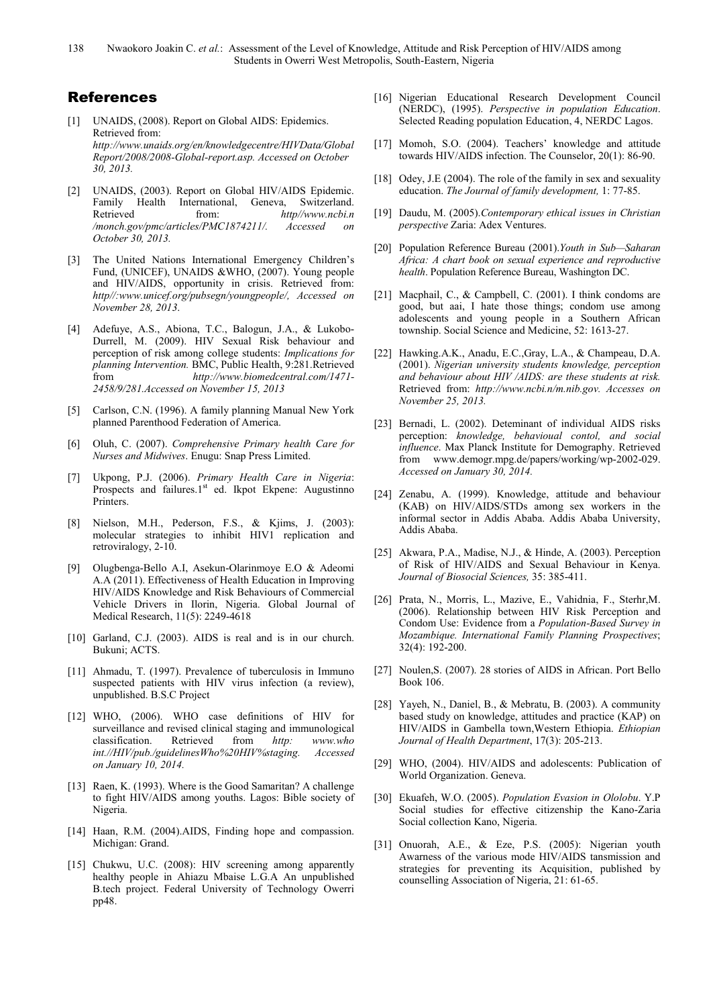138 Nwaokoro Joakin C. *et al.*: Assessment of the Level of Knowledge, Attitude and Risk Perception of HIV/AIDS among Students in Owerri West Metropolis, South-Eastern, Nigeria

## References

- [1] UNAIDS, (2008). Report on Global AIDS: Epidemics. Retrieved from: *http://www.unaids.org/en/knowledgecentre/HIVData/Global Report/2008/2008-Global-report.asp. Accessed on October 30, 2013.*
- [2] UNAIDS, (2003). Report on Global HIV/AIDS Epidemic. Family Health International, Geneva, Switzerland.<br>Retrieved from:  $http://www.ncbi.n$ Retrieved from: *http//www.ncbi.n /monch.gov/pmc/articles/PMC1874211/. Accessed on October 30, 2013.*
- [3] The United Nations International Emergency Children's Fund, (UNICEF), UNAIDS &WHO, (2007). Young people and HIV/AIDS, opportunity in crisis. Retrieved from: *http//:www.unicef.org/pubsegn/youngpeople/, Accessed on November 28, 2013*.
- [4] Adefuye, A.S., Abiona, T.C., Balogun, J.A., & Lukobo-Durrell, M. (2009). HIV Sexual Risk behaviour and perception of risk among college students: *Implications for planning Intervention.* BMC, Public Health, 9:281.Retrieved from *http://www.biomedcentral.com/1471- 2458/9/281.Accessed on November 15, 2013*
- [5] Carlson, C.N. (1996). A family planning Manual New York planned Parenthood Federation of America.
- [6] Oluh, C. (2007). *Comprehensive Primary health Care for Nurses and Midwives*. Enugu: Snap Press Limited.
- [7] Ukpong, P.J. (2006). *Primary Health Care in Nigeria*: Prospects and failures.1<sup>st</sup> ed. Ikpot Ekpene: Augustinno Printers.
- [8] Nielson, M.H., Pederson, F.S., & Kjims, J. (2003): molecular strategies to inhibit HIV1 replication and retroviralogy, 2-10.
- [9] Olugbenga-Bello A.I, Asekun-Olarinmoye E.O & Adeomi A.A (2011). Effectiveness of Health Education in Improving HIV/AIDS Knowledge and Risk Behaviours of Commercial Vehicle Drivers in Ilorin, Nigeria. Global Journal of Medical Research, 11(5): 2249-4618
- [10] Garland, C.J. (2003). AIDS is real and is in our church. Bukuni; ACTS.
- [11] Ahmadu, T. (1997). Prevalence of tuberculosis in Immuno suspected patients with HIV virus infection (a review), unpublished. B.S.C Project
- [12] WHO, (2006). WHO case definitions of HIV for surveillance and revised clinical staging and immunological classification. Retrieved from *http: www.who int.//HIV/pub./guidelinesWho%20HIV%staging. Accessed on January 10, 2014.*
- [13] Raen, K. (1993). Where is the Good Samaritan? A challenge to fight HIV/AIDS among youths. Lagos: Bible society of Nigeria.
- [14] Haan, R.M. (2004).AIDS, Finding hope and compassion. Michigan: Grand.
- [15] Chukwu, U.C. (2008): HIV screening among apparently healthy people in Ahiazu Mbaise L.G.A An unpublished B.tech project. Federal University of Technology Owerri pp48.
- [16] Nigerian Educational Research Development Council (NERDC), (1995). *Perspective in population Education*. Selected Reading population Education, 4, NERDC Lagos.
- [17] Momoh, S.O. (2004). Teachers' knowledge and attitude towards HIV/AIDS infection. The Counselor, 20(1): 86-90.
- [18] Odey, J.E (2004). The role of the family in sex and sexuality education. *The Journal of family development,* 1: 77-85.
- [19] Daudu, M. (2005).*Contemporary ethical issues in Christian perspective* Zaria: Adex Ventures.
- [20] Population Reference Bureau (2001).*Youth in Sub—Saharan Africa: A chart book on sexual experience and reproductive health*. Population Reference Bureau, Washington DC.
- [21] Macphail, C., & Campbell, C. (2001). I think condoms are good, but aai, I hate those things; condom use among adolescents and young people in a Southern African township. Social Science and Medicine, 52: 1613-27.
- [22] Hawking.A.K., Anadu, E.C.,Gray, L.A., & Champeau, D.A. (2001). *Nigerian university students knowledge, perception and behaviour about HIV /AIDS: are these students at risk.* Retrieved from: *http://www.ncbi.n/m.nib.gov. Accesses on November 25, 2013.*
- [23] Bernadi, L. (2002). Deteminant of individual AIDS risks perception: *knowledge, behavioual contol, and social influence*. Max Planck Institute for Demography. Retrieved from www.demogr.mpg.de/papers/working/wp-2002-029. *Accessed on January 30, 2014.*
- [24] Zenabu, A. (1999). Knowledge, attitude and behaviour (KAB) on HIV/AIDS/STDs among sex workers in the informal sector in Addis Ababa. Addis Ababa University, Addis Ababa.
- [25] Akwara, P.A., Madise, N.J., & Hinde, A. (2003). Perception of Risk of HIV/AIDS and Sexual Behaviour in Kenya. *Journal of Biosocial Sciences,* 35: 385-411.
- [26] Prata, N., Morris, L., Mazive, E., Vahidnia, F., Sterhr,M. (2006). Relationship between HIV Risk Perception and Condom Use: Evidence from a *Population-Based Survey in Mozambique. International Family Planning Prospectives*; 32(4): 192-200.
- [27] Noulen, S. (2007). 28 stories of AIDS in African. Port Bello Book 106.
- [28] Yayeh, N., Daniel, B., & Mebratu, B. (2003). A community based study on knowledge, attitudes and practice (KAP) on HIV/AIDS in Gambella town,Western Ethiopia. *Ethiopian Journal of Health Department*, 17(3): 205-213.
- [29] WHO, (2004). HIV/AIDS and adolescents: Publication of World Organization. Geneva.
- [30] Ekuafeh, W.O. (2005). *Population Evasion in Ololobu*. Y.P Social studies for effective citizenship the Kano-Zaria Social collection Kano, Nigeria.
- [31] Onuorah, A.E., & Eze, P.S. (2005): Nigerian youth Awarness of the various mode HIV/AIDS tansmission and strategies for preventing its Acquisition, published by counselling Association of Nigeria, 21: 61-65.